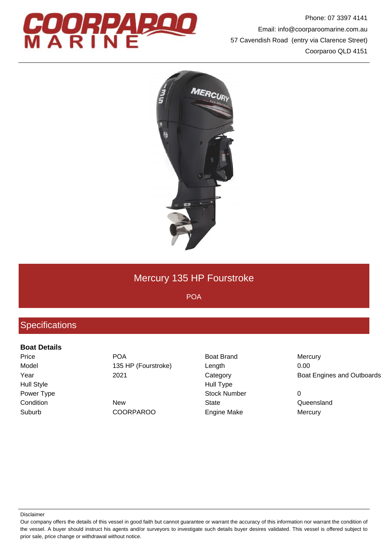

Phone: 07 3397 4141 Email: info@coorparoomarine.com.au 57 Cavendish Road (entry via Clarence Street) Coorparoo QLD 4151



# Mercury 135 HP Fourstroke

POA

## **Specifications**

#### **Boat Details**

Hull Style **Hull Type** Suburb COORPAROO Engine Make Mercury

Price **POA** POA Boat Brand Mercury Model 135 HP (Fourstroke) Length 10.00

Power Type **Stock Number** 0 Condition **New State** State Condition **Condition** Cueensland

Year 2021 Category Boat Engines and Outboards

Our company offers the details of this vessel in good faith but cannot guarantee or warrant the accuracy of this information nor warrant the condition of the vessel. A buyer should instruct his agents and/or surveyors to investigate such details buyer desires validated. This vessel is offered subject to prior sale, price change or withdrawal without notice.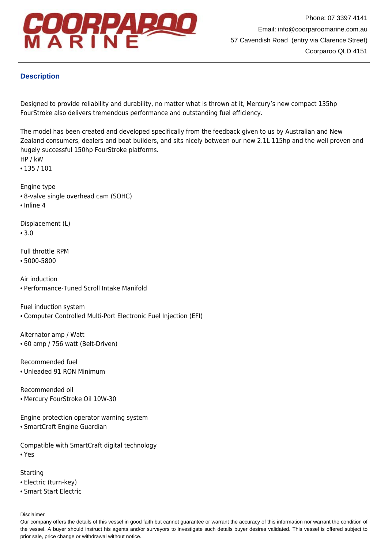

### **Description**

Designed to provide reliability and durability, no matter what is thrown at it, Mercury's new compact 135hp FourStroke also delivers tremendous performance and outstanding fuel efficiency.

The model has been created and developed specifically from the feedback given to us by Australian and New Zealand consumers, dealers and boat builders, and sits nicely between our new 2.1L 115hp and the well proven and hugely successful 150hp FourStroke platforms. HP / kW

• 135 / 101

Engine type

- 8-valve single overhead cam (SOHC)
- Inline 4

Displacement (L)

 $• 3.0$ 

Full throttle RPM

• 5000-5800

Air induction • Performance-Tuned Scroll Intake Manifold

Fuel induction system

• Computer Controlled Multi-Port Electronic Fuel Injection (EFI)

Alternator amp / Watt • 60 amp / 756 watt (Belt-Driven)

Recommended fuel • Unleaded 91 RON Minimum

Recommended oil • Mercury FourStroke Oil 10W-30

Engine protection operator warning system

• SmartCraft Engine Guardian

Compatible with SmartCraft digital technology • Yes

### **Starting**

- Electric (turn-key)
- Smart Start Electric

Our company offers the details of this vessel in good faith but cannot guarantee or warrant the accuracy of this information nor warrant the condition of the vessel. A buyer should instruct his agents and/or surveyors to investigate such details buyer desires validated. This vessel is offered subject to prior sale, price change or withdrawal without notice.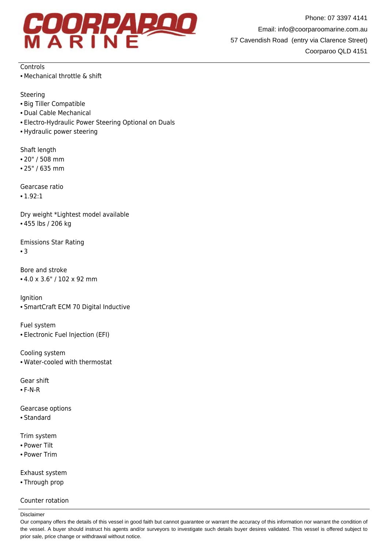

Phone: 07 3397 4141 Email: info@coorparoomarine.com.au 57 Cavendish Road (entry via Clarence Street) Coorparoo QLD 4151

**Controls** 

• Mechanical throttle & shift

Steering

- Big Tiller Compatible
- Dual Cable Mechanical
- Electro-Hydraulic Power Steering Optional on Duals
- Hydraulic power steering

Shaft length

- 20" / 508 mm
- 25" / 635 mm

Gearcase ratio

• 1.92:1

Dry weight \*Lightest model available • 455 lbs / 206 kg

Emissions Star Rating

• 3

Bore and stroke • 4.0 x 3.6" / 102 x 92 mm

Ignition

• SmartCraft ECM 70 Digital Inductive

Fuel system

• Electronic Fuel Injection (EFI)

Cooling system • Water-cooled with thermostat

Gear shift

• F-N-R

Gearcase options

• Standard

Trim system

- Power Tilt
- Power Trim

Exhaust system

• Through prop

#### Counter rotation

Our company offers the details of this vessel in good faith but cannot guarantee or warrant the accuracy of this information nor warrant the condition of the vessel. A buyer should instruct his agents and/or surveyors to investigate such details buyer desires validated. This vessel is offered subject to prior sale, price change or withdrawal without notice.